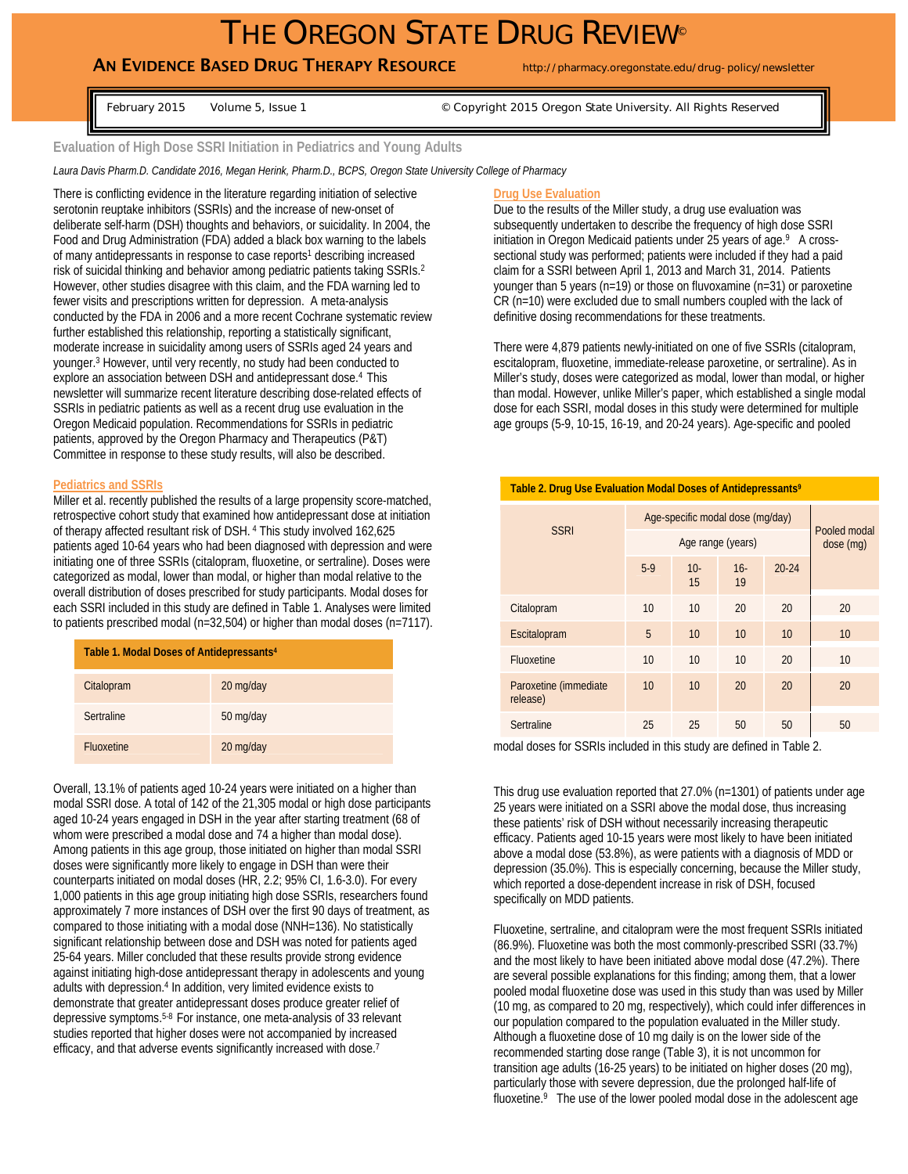# THE OREGON STATE DRUG REVIEW®

## AN EVIDENCE BASED DRUG THERAPY RESOURCE http://pharmacy.oregonstate.edu/drug-policy/newsletter

February 2015 Volume 5, Issue 1 © Copyright 2015 Oregon State University. All Rights Reserved

### **Evaluation of High Dose SSRI Initiation in Pediatrics and Young Adults**

*Laura Davis Pharm.D. Candidate 2016, Megan Herink, Pharm.D., BCPS, Oregon State University College of Pharmacy*

There is conflicting evidence in the literature regarding initiation of selective serotonin reuptake inhibitors (SSRIs) and the increase of new-onset of deliberate self-harm (DSH) thoughts and behaviors, or suicidality. In 2004, the Food and Drug Administration (FDA) added a black box warning to the labels of many antidepressants in response to case reports<sup>1</sup> describing increased risk of suicidal thinking and behavior among pediatric patients taking SSRIs.2 However, other studies disagree with this claim, and the FDA warning led to fewer visits and prescriptions written for depression. A meta-analysis conducted by the FDA in 2006 and a more recent Cochrane systematic review further established this relationship, reporting a statistically significant, moderate increase in suicidality among users of SSRIs aged 24 years and younger.3 However, until very recently, no study had been conducted to explore an association between DSH and antidepressant dose.4 This newsletter will summarize recent literature describing dose-related effects of SSRIs in pediatric patients as well as a recent drug use evaluation in the Oregon Medicaid population. Recommendations for SSRIs in pediatric patients, approved by the Oregon Pharmacy and Therapeutics (P&T) Committee in response to these study results, will also be described.

#### **Pediatrics and SSRIs**

Miller et al. recently published the results of a large propensity score-matched, retrospective cohort study that examined how antidepressant dose at initiation of therapy affected resultant risk of DSH. 4 This study involved 162,625 patients aged 10-64 years who had been diagnosed with depression and were initiating one of three SSRIs (citalopram, fluoxetine, or sertraline). Doses were categorized as modal, lower than modal, or higher than modal relative to the overall distribution of doses prescribed for study participants. Modal doses for each SSRI included in this study are defined in Table 1. Analyses were limited to patients prescribed modal (n=32,504) or higher than modal doses (n=7117).

| Table 1. Modal Doses of Antidepressants <sup>4</sup> |           |  |  |
|------------------------------------------------------|-----------|--|--|
| Citalopram                                           | 20 mg/day |  |  |
| Sertraline                                           | 50 mg/day |  |  |
| <b>Fluoxetine</b>                                    | 20 mg/day |  |  |

Overall, 13.1% of patients aged 10-24 years were initiated on a higher than modal SSRI dose. A total of 142 of the 21,305 modal or high dose participants aged 10-24 years engaged in DSH in the year after starting treatment (68 of whom were prescribed a modal dose and 74 a higher than modal dose). Among patients in this age group, those initiated on higher than modal SSRI doses were significantly more likely to engage in DSH than were their counterparts initiated on modal doses (HR, 2.2; 95% CI, 1.6-3.0). For every 1,000 patients in this age group initiating high dose SSRIs, researchers found approximately 7 more instances of DSH over the first 90 days of treatment, as compared to those initiating with a modal dose (NNH=136). No statistically significant relationship between dose and DSH was noted for patients aged 25-64 years. Miller concluded that these results provide strong evidence against initiating high-dose antidepressant therapy in adolescents and young adults with depression.4 In addition, very limited evidence exists to demonstrate that greater antidepressant doses produce greater relief of depressive symptoms.5-8 For instance, one meta-analysis of 33 relevant studies reported that higher doses were not accompanied by increased efficacy, and that adverse events significantly increased with dose.<sup>7</sup>

#### **Drug Use Evaluation**

Due to the results of the Miller study, a drug use evaluation was subsequently undertaken to describe the frequency of high dose SSRI initiation in Oregon Medicaid patients under 25 years of age.<sup>9</sup> A crosssectional study was performed; patients were included if they had a paid claim for a SSRI between April 1, 2013 and March 31, 2014. Patients younger than 5 years (n=19) or those on fluvoxamine (n=31) or paroxetine CR (n=10) were excluded due to small numbers coupled with the lack of definitive dosing recommendations for these treatments.

There were 4,879 patients newly-initiated on one of five SSRIs (citalopram, escitalopram, fluoxetine, immediate-release paroxetine, or sertraline). As in Miller's study, doses were categorized as modal, lower than modal, or higher than modal. However, unlike Miller's paper, which established a single modal dose for each SSRI, modal doses in this study were determined for multiple age groups (5-9, 10-15, 16-19, and 20-24 years). Age-specific and pooled

| Table 2. Drug Use Evaluation Modal Doses of Antidepressants <sup>9</sup> |                                  |              |              |           |                           |  |
|--------------------------------------------------------------------------|----------------------------------|--------------|--------------|-----------|---------------------------|--|
| <b>SSRI</b>                                                              | Age-specific modal dose (mg/day) |              |              |           | Pooled modal<br>dose (mg) |  |
|                                                                          | Age range (years)                |              |              |           |                           |  |
|                                                                          | $5-9$                            | $10 -$<br>15 | $16 -$<br>19 | $20 - 24$ |                           |  |
| Citalopram                                                               | 10                               | 10           | 20           | 20        | 20                        |  |
| Escitalopram                                                             | 5                                | 10           | 10           | 10        | 10                        |  |
| Fluoxetine                                                               | 10                               | 10           | 10           | 20        | 10                        |  |
| Paroxetine (immediate)<br>release)                                       | 10                               | 10           | 20           | 20        | 20                        |  |
| Sertraline                                                               | 25                               | 25           | 50           | 50        | 50                        |  |

modal doses for SSRIs included in this study are defined in Table 2.

This drug use evaluation reported that 27.0% (n=1301) of patients under age 25 years were initiated on a SSRI above the modal dose, thus increasing these patients' risk of DSH without necessarily increasing therapeutic efficacy. Patients aged 10-15 years were most likely to have been initiated above a modal dose (53.8%), as were patients with a diagnosis of MDD or depression (35.0%). This is especially concerning, because the Miller study, which reported a dose-dependent increase in risk of DSH, focused specifically on MDD patients.

Fluoxetine, sertraline, and citalopram were the most frequent SSRIs initiated (86.9%). Fluoxetine was both the most commonly-prescribed SSRI (33.7%) and the most likely to have been initiated above modal dose (47.2%). There are several possible explanations for this finding; among them, that a lower pooled modal fluoxetine dose was used in this study than was used by Miller (10 mg, as compared to 20 mg, respectively), which could infer differences in our population compared to the population evaluated in the Miller study. Although a fluoxetine dose of 10 mg daily is on the lower side of the recommended starting dose range (Table 3), it is not uncommon for transition age adults (16-25 years) to be initiated on higher doses (20 mg), particularly those with severe depression, due the prolonged half-life of fluoxetine.<sup>9</sup> The use of the lower pooled modal dose in the adolescent age